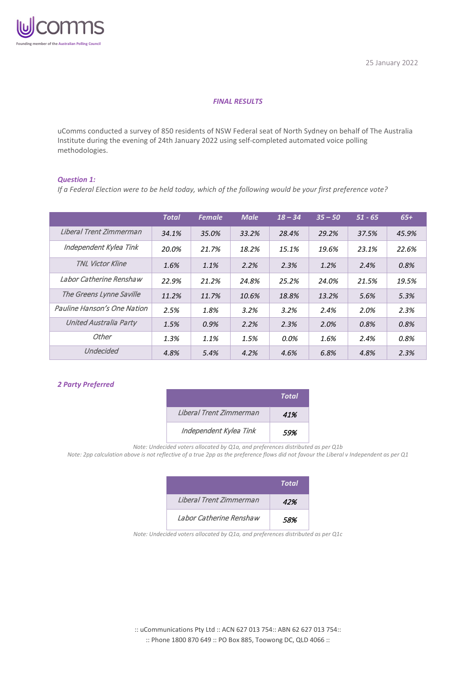

### *FINAL RESULTS*

uComms conducted a survey of 850 residents of NSW Federal seat of North Sydney on behalf of The Australia Institute during the evening of 24th January 2022 using self-completed automated voice polling methodologies.

#### *Question 1:*

*If a Federal Election were to be held today, which of the following would be your first preference vote?*

|                             | <b>Total</b> | <b>Female</b> | <b>Male</b> | $18 - 34$ | $35 - 50$ | $51 - 65$ | $65+$ |
|-----------------------------|--------------|---------------|-------------|-----------|-----------|-----------|-------|
| Liberal Trent Zimmerman     | 34.1%        | 35.0%         | 33.2%       | 28.4%     | 29.2%     | 37.5%     | 45.9% |
| Independent Kylea Tink      | 20.0%        | 21.7%         | 18.2%       | 15.1%     | 19.6%     | 23.1%     | 22.6% |
| <b>TNL Victor Kline</b>     | 1.6%         | 1.1%          | 2.2%        | 2.3%      | 1.2%      | 2.4%      | 0.8%  |
| Labor Catherine Renshaw     | 22.9%        | 21.2%         | 24.8%       | 25.2%     | 24.0%     | 21.5%     | 19.5% |
| The Greens Lynne Saville    | 11.2%        | 11.7%         | 10.6%       | 18.8%     | 13.2%     | 5.6%      | 5.3%  |
| Pauline Hanson's One Nation | 2.5%         | 1.8%          | 3.2%        | 3.2%      | 2.4%      | 2.0%      | 2.3%  |
| United Australia Party      | 1.5%         | 0.9%          | 2.2%        | 2.3%      | 2.0%      | 0.8%      | 0.8%  |
| Other                       | 1.3%         | 1.1%          | 1.5%        | 0.0%      | 1.6%      | 2.4%      | 0.8%  |
| Undecided                   | 4.8%         | 5.4%          | 4.2%        | 4.6%      | 6.8%      | 4.8%      | 2.3%  |

#### *2 Party Preferred*

|                         | Total |
|-------------------------|-------|
| Liberal Trent Zimmerman | 41%   |
| Independent Kylea Tink  | .59%  |

*Note: Undecided voters allocated by Q1a, and preferences distributed as per Q1b*

*Note: 2pp calculation above is not reflective of a true 2pp as the preference flows did not favour the Liberal v Independent as per Q1*

|                         | Total |
|-------------------------|-------|
| Liberal Trent Zimmerman | 42%   |
| Labor Catherine Renshaw | .58%  |

*Note: Undecided voters allocated by Q1a, and preferences distributed as per Q1c*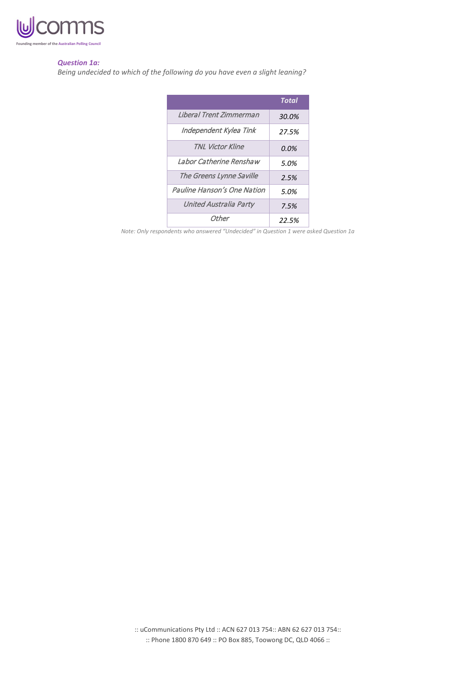

#### *Question 1a:*

*Being undecided to which of the following do you have even a slight leaning?*

|                             | Total |
|-----------------------------|-------|
| Liberal Trent Zimmerman     | 30.0% |
| Independent Kylea Tink      | 27.5% |
| <b>TNL Victor Kline</b>     | 0.0%  |
| Labor Catherine Renshaw     | 5.0%  |
| The Greens Lynne Saville    | 2.5%  |
| Pauline Hanson's One Nation | 5.0%  |
| United Australia Party      | 7.5%  |
| Other                       | 22.5% |

*Note: Only respondents who answered "Undecided" in Question 1 were asked Question 1a*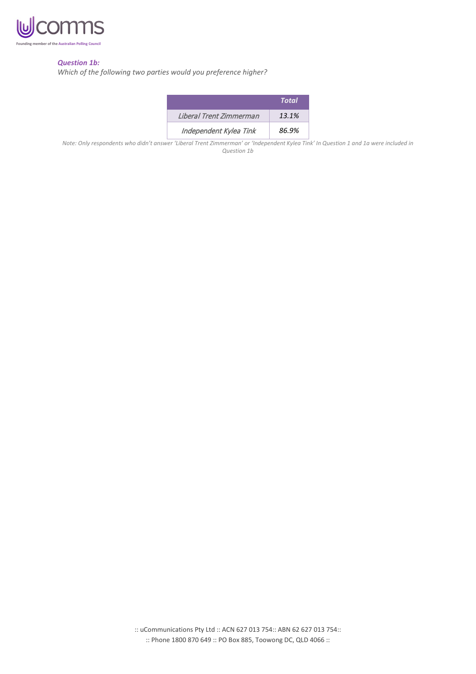

## *Question 1b:*

*Which of the following two parties would you preference higher?*

|                         | Total |
|-------------------------|-------|
| Liberal Trent Zimmerman | 13.1% |
| Independent Kylea Tink  | 86.9% |

*Note: Only respondents who didn't answer 'Liberal Trent Zimmerman' or 'Independent Kylea Tink' In Question 1 and 1a were included in Question 1b*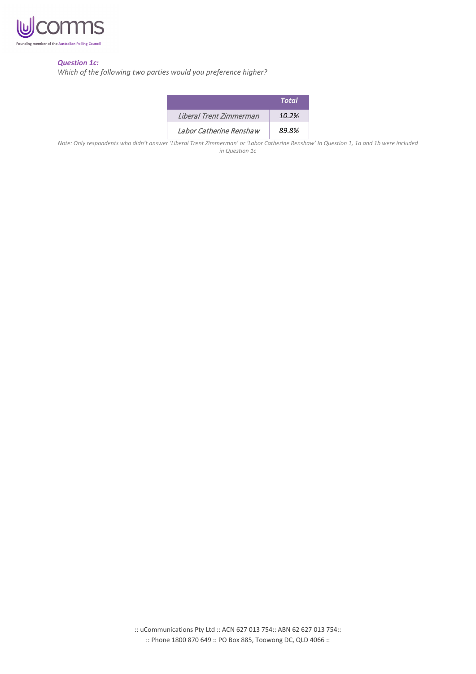

## *Question 1c:*

*Which of the following two parties would you preference higher?*

|                         | Total |
|-------------------------|-------|
| Liberal Trent Zimmerman | 10.2% |
| Labor Catherine Renshaw | 89.8% |

*Note: Only respondents who didn't answer 'Liberal Trent Zimmerman' or 'Labor Catherine Renshaw' In Question 1, 1a and 1b were included in Question 1c*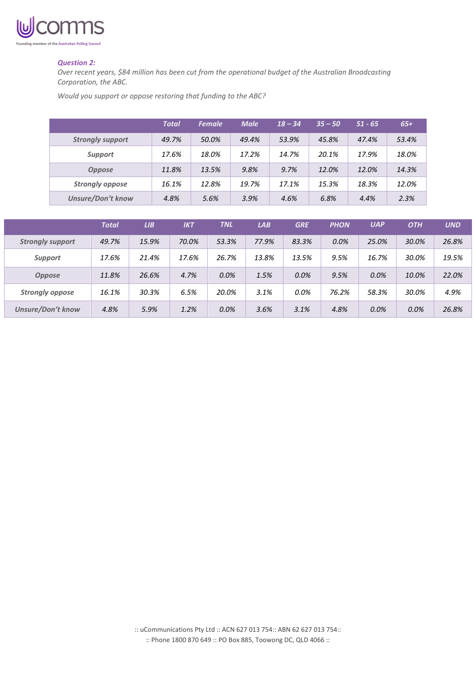

#### *Question 2:*

*Over recent years, \$84 million has been cut from the operational budget of the Australian Broadcasting Corporation, the ABC.*

*Would you support or oppose restoring that funding to the ABC?*

|                          | <b>Total</b> | <b>Female</b> | <b>Male</b> | $18 - 34$ | $35 - 50$ | $51 - 65$ | $65+$ |
|--------------------------|--------------|---------------|-------------|-----------|-----------|-----------|-------|
| <b>Strongly support</b>  | 49.7%        | 50.0%         | 49.4%       | 53.9%     | 45.8%     | 47.4%     | 53.4% |
| <b>Support</b>           | 17.6%        | 18.0%         | 17.2%       | 14.7%     | 20.1%     | 17.9%     | 18.0% |
| <b>Oppose</b>            | 11.8%        | 13.5%         | 9.8%        | 9.7%      | 12.0%     | 12.0%     | 14.3% |
| <b>Strongly oppose</b>   | 16.1%        | 12.8%         | 19.7%       | 17.1%     | 15.3%     | 18.3%     | 12.0% |
| <b>Unsure/Don't know</b> | 4.8%         | 5.6%          | 3.9%        | 4.6%      | 6.8%      | 4.4%      | 2.3%  |

|                          | <b>Total</b> | LIB   | <b>IKT</b> | <b>TNL</b> | LAB   | <b>GRE</b> | <b>PHON</b> | <b>UAP</b> | <b>OTH</b> | <b>UND</b> |
|--------------------------|--------------|-------|------------|------------|-------|------------|-------------|------------|------------|------------|
| <b>Strongly support</b>  | 49.7%        | 15.9% | 70.0%      | 53.3%      | 77.9% | 83.3%      | $0.0\%$     | 25.0%      | 30.0%      | 26.8%      |
| <b>Support</b>           | 17.6%        | 21.4% | 17.6%      | 26.7%      | 13.8% | 13.5%      | 9.5%        | 16.7%      | 30.0%      | 19.5%      |
| <b>Oppose</b>            | 11.8%        | 26.6% | 4.7%       | 0.0%       | 1.5%  | $0.0\%$    | 9.5%        | 0.0%       | 10.0%      | 22.0%      |
| <b>Strongly oppose</b>   | 16.1%        | 30.3% | 6.5%       | 20.0%      | 3.1%  | $0.0\%$    | 76.2%       | 58.3%      | 30.0%      | 4.9%       |
| <b>Unsure/Don't know</b> | 4.8%         | 5.9%  | 1.2%       | 0.0%       | 3.6%  | 3.1%       | 4.8%        | 0.0%       | 0.0%       | 26.8%      |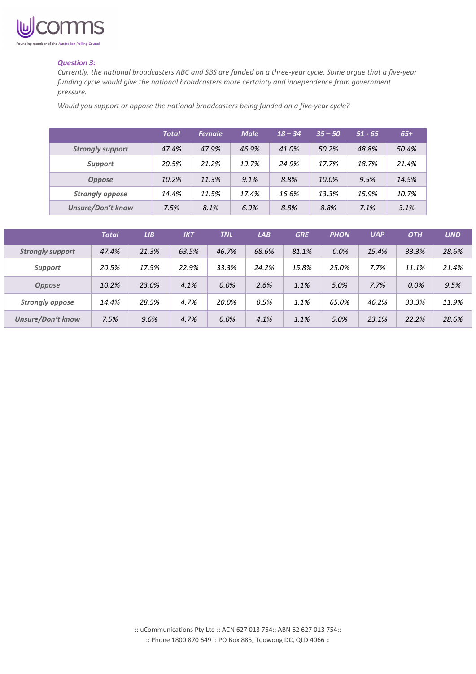

### *Question 3:*

*Currently, the national broadcasters ABC and SBS are funded on a three-year cycle. Some argue that a five-year funding cycle would give the national broadcasters more certainty and independence from government pressure.* 

*Would you support or oppose the national broadcasters being funded on a five-year cycle?*

|                          | <b>Total</b> | <b>Female</b> | <b>Male</b> | $18 - 34$ | $35 - 50$ | $51 - 65$ | $65+$ |
|--------------------------|--------------|---------------|-------------|-----------|-----------|-----------|-------|
| <b>Strongly support</b>  | 47.4%        | 47.9%         | 46.9%       | 41.0%     | 50.2%     | 48.8%     | 50.4% |
| <b>Support</b>           | 20.5%        | 21.2%         | 19.7%       | 24.9%     | 17.7%     | 18.7%     | 21.4% |
| <b>Oppose</b>            | 10.2%        | 11.3%         | 9.1%        | 8.8%      | 10.0%     | 9.5%      | 14.5% |
| <b>Strongly oppose</b>   | 14.4%        | 11.5%         | 17.4%       | 16.6%     | 13.3%     | 15.9%     | 10.7% |
| <b>Unsure/Don't know</b> | 7.5%         | 8.1%          | 6.9%        | 8.8%      | 8.8%      | 7.1%      | 3.1%  |

|                          | <b>Total</b> | LIB   | <b>IKT</b> | <b>TNL</b> | LAB   | <b>GRE</b> | <b>PHON</b> | <b>UAP</b> | <b>OTH</b> | <b>UND</b> |
|--------------------------|--------------|-------|------------|------------|-------|------------|-------------|------------|------------|------------|
| <b>Strongly support</b>  | 47.4%        | 21.3% | 63.5%      | 46.7%      | 68.6% | 81.1%      | 0.0%        | 15.4%      | 33.3%      | 28.6%      |
| <b>Support</b>           | 20.5%        | 17.5% | 22.9%      | 33.3%      | 24.2% | 15.8%      | 25.0%       | 7.7%       | 11.1%      | 21.4%      |
| <b>Oppose</b>            | 10.2%        | 23.0% | 4.1%       | 0.0%       | 2.6%  | 1.1%       | 5.0%        | 7.7%       | 0.0%       | 9.5%       |
| <b>Strongly oppose</b>   | 14.4%        | 28.5% | 4.7%       | 20.0%      | 0.5%  | 1.1%       | 65.0%       | 46.2%      | 33.3%      | 11.9%      |
| <b>Unsure/Don't know</b> | 7.5%         | 9.6%  | 4.7%       | 0.0%       | 4.1%  | 1.1%       | 5.0%        | 23.1%      | 22.2%      | 28.6%      |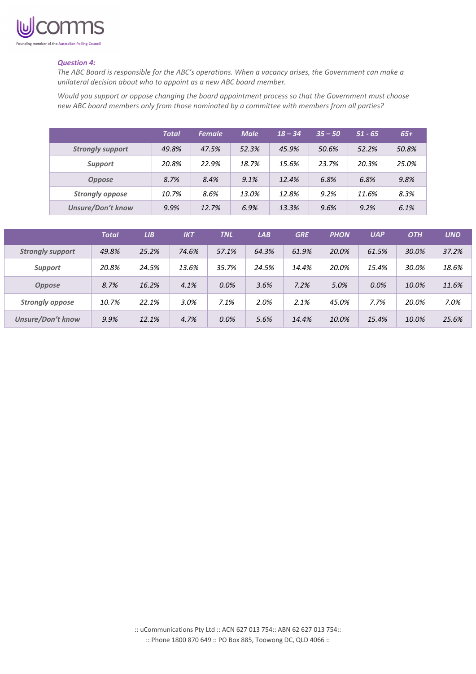

#### *Question 4:*

*The ABC Board is responsible for the ABC's operations. When a vacancy arises, the Government can make a unilateral decision about who to appoint as a new ABC board member.* 

*Would you support or oppose changing the board appointment process so that the Government must choose new ABC board members only from those nominated by a committee with members from all parties?*

|                          | <b>Total</b> | <b>Female</b> | <b>Male</b> | $18 - 34$ | $35 - 50$ | $51 - 65$ | $65+$ |
|--------------------------|--------------|---------------|-------------|-----------|-----------|-----------|-------|
| <b>Strongly support</b>  | 49.8%        | 47.5%         | 52.3%       | 45.9%     | 50.6%     | 52.2%     | 50.8% |
| <b>Support</b>           | 20.8%        | 22.9%         | 18.7%       | 15.6%     | 23.7%     | 20.3%     | 25.0% |
| <b>Oppose</b>            | 8.7%         | 8.4%          | 9.1%        | 12.4%     | 6.8%      | 6.8%      | 9.8%  |
| <b>Strongly oppose</b>   | 10.7%        | 8.6%          | 13.0%       | 12.8%     | 9.2%      | 11.6%     | 8.3%  |
| <b>Unsure/Don't know</b> | 9.9%         | 12.7%         | 6.9%        | 13.3%     | 9.6%      | 9.2%      | 6.1%  |

|                         | <b>Total</b> | LIB   | <b>IKT</b> | <b>TNL</b> | LAB   | <b>GRE</b> | <b>PHON</b> | <b>UAP</b> | <b>OTH</b> | <b>UND</b> |
|-------------------------|--------------|-------|------------|------------|-------|------------|-------------|------------|------------|------------|
| <b>Strongly support</b> | 49.8%        | 25.2% | 74.6%      | 57.1%      | 64.3% | 61.9%      | 20.0%       | 61.5%      | 30.0%      | 37.2%      |
| <b>Support</b>          | 20.8%        | 24.5% | 13.6%      | 35.7%      | 24.5% | 14.4%      | 20.0%       | 15.4%      | 30.0%      | 18.6%      |
| <b>Oppose</b>           | 8.7%         | 16.2% | 4.1%       | 0.0%       | 3.6%  | 7.2%       | 5.0%        | 0.0%       | 10.0%      | 11.6%      |
| <b>Strongly oppose</b>  | 10.7%        | 22.1% | 3.0%       | 7.1%       | 2.0%  | 2.1%       | 45.0%       | 7.7%       | 20.0%      | 7.0%       |
| Unsure/Don't know       | 9.9%         | 12.1% | 4.7%       | 0.0%       | 5.6%  | 14.4%      | 10.0%       | 15.4%      | 10.0%      | 25.6%      |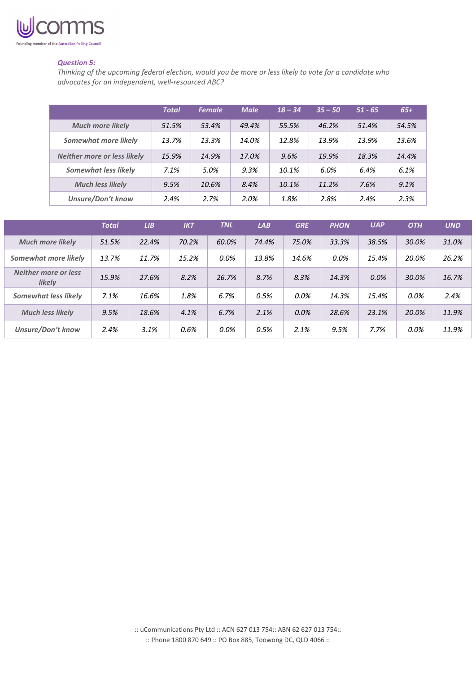

### *Question 5:*

*Thinking of the upcoming federal election, would you be more or less likely to vote for a candidate who advocates for an independent, well-resourced ABC?*

|                                    | <b>Total</b> | <b>Female</b> | <b>Male</b> | $18 - 34$ | $35 - 50$ | $51 - 65$ | $65+$ |
|------------------------------------|--------------|---------------|-------------|-----------|-----------|-----------|-------|
| <b>Much more likely</b>            | 51.5%        | 53.4%         | 49.4%       | 55.5%     | 46.2%     | 51.4%     | 54.5% |
| Somewhat more likely               | 13.7%        | 13.3%         | 14.0%       | 12.8%     | 13.9%     | 13.9%     | 13.6% |
| <b>Neither more or less likely</b> | 15.9%        | 14.9%         | 17.0%       | 9.6%      | 19.9%     | 18.3%     | 14.4% |
| <b>Somewhat less likely</b>        | 7.1%         | 5.0%          | 9.3%        | 10.1%     | 6.0%      | 6.4%      | 6.1%  |
| <b>Much less likely</b>            | 9.5%         | 10.6%         | 8.4%        | 10.1%     | 11.2%     | 7.6%      | 9.1%  |
| Unsure/Don't know                  | 2.4%         | 2.7%          | 2.0%        | 1.8%      | 2.8%      | 2.4%      | 2.3%  |

|                                              | <b>Total</b> | LIB   | <b>IKT</b> | <b>TNL</b> | LAB   | <b>GRE</b> | <b>PHON</b> | <b>UAP</b> | <b>OTH</b> | <b>UND</b> |
|----------------------------------------------|--------------|-------|------------|------------|-------|------------|-------------|------------|------------|------------|
| <b>Much more likely</b>                      | 51.5%        | 22.4% | 70.2%      | 60.0%      | 74.4% | 75.0%      | 33.3%       | 38.5%      | 30.0%      | 31.0%      |
| Somewhat more likely                         | 13.7%        | 11.7% | 15.2%      | 0.0%       | 13.8% | 14.6%      | $0.0\%$     | 15.4%      | 20.0%      | 26.2%      |
| <b>Neither more or less</b><br><b>likely</b> | 15.9%        | 27.6% | 8.2%       | 26.7%      | 8.7%  | 8.3%       | 14.3%       | 0.0%       | 30.0%      | 16.7%      |
| <b>Somewhat less likely</b>                  | 7.1%         | 16.6% | 1.8%       | 6.7%       | 0.5%  | $0.0\%$    | 14.3%       | 15.4%      | $0.0\%$    | 2.4%       |
| <b>Much less likely</b>                      | 9.5%         | 18.6% | 4.1%       | 6.7%       | 2.1%  | $0.0\%$    | 28.6%       | 23.1%      | 20.0%      | 11.9%      |
| Unsure/Don't know                            | 2.4%         | 3.1%  | 0.6%       | 0.0%       | 0.5%  | 2.1%       | 9.5%        | 7.7%       | 0.0%       | 11.9%      |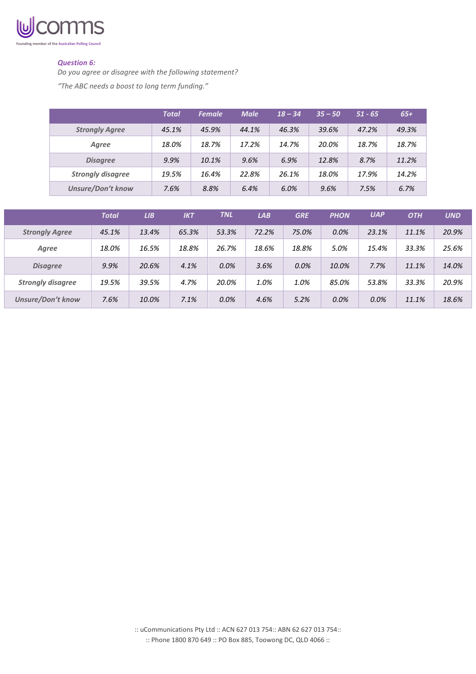

## *Question 6:*

*Do you agree or disagree with the following statement? "The ABC needs a boost to long term funding."*

|                          | <b>Total</b> | <b>Female</b> | <b>Male</b> | $18 - 34$ | $35 - 50$ | $51 - 65$ | $65+$ |
|--------------------------|--------------|---------------|-------------|-----------|-----------|-----------|-------|
| <b>Strongly Agree</b>    | 45.1%        | 45.9%         | 44.1%       | 46.3%     | 39.6%     | 47.2%     | 49.3% |
| Agree                    | 18.0%        | 18.7%         | 17.2%       | 14.7%     | 20.0%     | 18.7%     | 18.7% |
| <b>Disagree</b>          | 9.9%         | 10.1%         | 9.6%        | 6.9%      | 12.8%     | 8.7%      | 11.2% |
| <b>Strongly disagree</b> | 19.5%        | 16.4%         | 22.8%       | 26.1%     | 18.0%     | 17.9%     | 14.2% |
| <b>Unsure/Don't know</b> | 7.6%         | 8.8%          | 6.4%        | 6.0%      | 9.6%      | 7.5%      | 6.7%  |

|                          | <b>Total</b> | LIB   | <b>IKT</b> | <b>TNL</b> | LAB   | <b>GRE</b> | <b>PHON</b> | <b>UAP</b> | <b>OTH</b> | <b>UND</b> |
|--------------------------|--------------|-------|------------|------------|-------|------------|-------------|------------|------------|------------|
| <b>Strongly Agree</b>    | 45.1%        | 13.4% | 65.3%      | 53.3%      | 72.2% | 75.0%      | 0.0%        | 23.1%      | 11.1%      | 20.9%      |
| Agree                    | 18.0%        | 16.5% | 18.8%      | 26.7%      | 18.6% | 18.8%      | 5.0%        | 15.4%      | 33.3%      | 25.6%      |
| <b>Disagree</b>          | 9.9%         | 20.6% | 4.1%       | 0.0%       | 3.6%  | $0.0\%$    | 10.0%       | 7.7%       | 11.1%      | 14.0%      |
| <b>Strongly disagree</b> | 19.5%        | 39.5% | 4.7%       | 20.0%      | 1.0%  | 1.0%       | 85.0%       | 53.8%      | 33.3%      | 20.9%      |
| <b>Unsure/Don't know</b> | 7.6%         | 10.0% | 7.1%       | 0.0%       | 4.6%  | 5.2%       | 0.0%        | 0.0%       | 11.1%      | 18.6%      |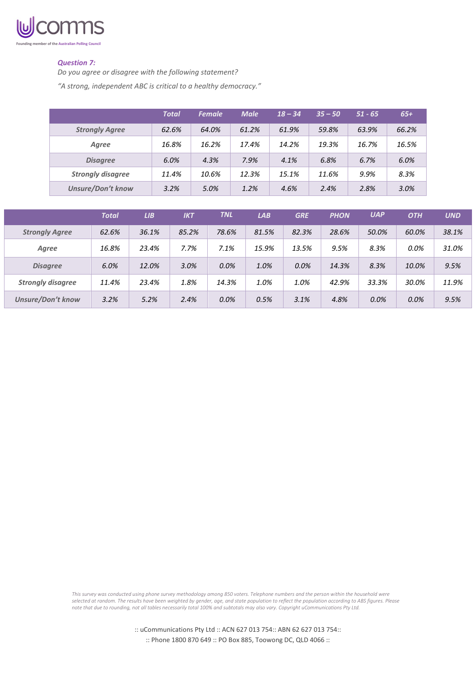

### *Question 7:*

*Do you agree or disagree with the following statement? "A strong, independent ABC is critical to a healthy democracy."*

|                          | <b>Total</b> | <b>Female</b> | <b>Male</b> | $18 - 34$ | $35 - 50$ | $51 - 65$ | $65+$ |
|--------------------------|--------------|---------------|-------------|-----------|-----------|-----------|-------|
| <b>Strongly Agree</b>    | 62.6%        | 64.0%         | 61.2%       | 61.9%     | 59.8%     | 63.9%     | 66.2% |
| <b>Agree</b>             | 16.8%        | 16.2%         | 17.4%       | 14.2%     | 19.3%     | 16.7%     | 16.5% |
| <b>Disagree</b>          | 6.0%         | 4.3%          | 7.9%        | 4.1%      | 6.8%      | 6.7%      | 6.0%  |
| <b>Strongly disagree</b> | 11.4%        | 10.6%         | 12.3%       | 15.1%     | 11.6%     | 9.9%      | 8.3%  |
| <b>Unsure/Don't know</b> | 3.2%         | 5.0%          | 1.2%        | 4.6%      | 2.4%      | 2.8%      | 3.0%  |

|                          | <b>Total</b> | LIB   | <b>IKT</b> | <b>TNL</b> | LAB   | <b>GRE</b> | <b>PHON</b> | <b>UAP</b> | <b>OTH</b> | <b>UND</b> |
|--------------------------|--------------|-------|------------|------------|-------|------------|-------------|------------|------------|------------|
| <b>Strongly Agree</b>    | 62.6%        | 36.1% | 85.2%      | 78.6%      | 81.5% | 82.3%      | 28.6%       | 50.0%      | 60.0%      | 38.1%      |
| Agree                    | 16.8%        | 23.4% | 7.7%       | 7.1%       | 15.9% | 13.5%      | 9.5%        | 8.3%       | 0.0%       | 31.0%      |
| <b>Disagree</b>          | 6.0%         | 12.0% | 3.0%       | 0.0%       | 1.0%  | 0.0%       | 14.3%       | 8.3%       | 10.0%      | 9.5%       |
| <b>Strongly disagree</b> | 11.4%        | 23.4% | 1.8%       | 14.3%      | 1.0%  | 1.0%       | 42.9%       | 33.3%      | 30.0%      | 11.9%      |
| Unsure/Don't know        | 3.2%         | 5.2%  | 2.4%       | 0.0%       | 0.5%  | 3.1%       | 4.8%        | 0.0%       | 0.0%       | 9.5%       |

*This survey was conducted using phone survey methodology among 850 voters. Telephone numbers and the person within the household were selected at random. The results have been weighted by gender, age, and state population to reflect the population according to ABS figures. Please note that due to rounding, not all tables necessarily total 100% and subtotals may also vary. Copyright uCommunications Pty Ltd.*

> :: uCommunications Pty Ltd :: ACN 627 013 754:: ABN 62 627 013 754:: :: Phone 1800 870 649 :: PO Box 885, Toowong DC, QLD 4066 ::